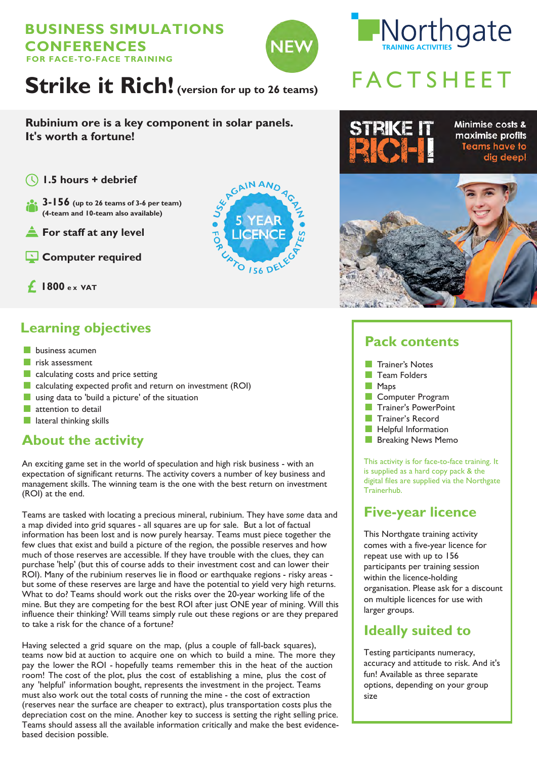#### **BUSINESS SIMULATIONS CONFERENCES FOR FACE-TO-FACE TRAINING**



# Northgate

# FACTSHEET

**Rubinium ore is a key component in solar panels. It's worth a fortune!**

- $($
- **3-156 (up to 26 teams of 3-6 per team) (4-team and 10-team also available)**
- **For staff at any level**
- **Computer required**



**1800 e x VAT**

# **Learning objectives**

- business acumen
- risk assessment
- calculating costs and price setting
- calculating expected profit and return on investment (ROI)
- using data to 'build a picture' of the situation
- attention to detail
- lateral thinking skills

# **About the activity**

An exciting game set in the world of speculation and high risk business - with an expectation of significant returns. The activity covers a number of key business and management skills. The winning team is the one with the best return on investment (ROI) at the end.

Teams are tasked with locating a precious mineral, rubinium. They have *some* data and a map divided into grid squares - all squares are up for sale. But a lot of factual information has been lost and is now purely hearsay. Teams must piece together the few clues that exist and build a picture of the region, the possible reserves and how much of those reserves are accessible. If they have trouble with the clues, they can purchase 'help' (but this of course adds to their investment cost and can lower their ROI). Many of the rubinium reserves lie in flood or earthquake regions - risky areas but some of these reserves are large and have the potential to yield very high returns. What to do? Teams should work out the risks over the 20-year working life of the mine. But they are competing for the best ROI after just ONE year of mining. Will this influence their thinking? Will teams simply rule out these regions or are they prepared to take a risk for the chance of a fortune?

Having selected a grid square on the map, (plus a couple of fall-back squares), teams now bid at auction to acquire one on which to build a mine. The more they pay the lower the ROI - hopefully teams remember this in the heat of the auction room! The cost of the plot, plus the cost of establishing a mine, plus the cost of any 'helpful' information bought, represents the investment in the project. Teams must also work out the total costs of running the mine - the cost of extraction (reserves near the surface are cheaper to extract), plus transportation costs plus the depreciation cost on the mine. Another key to success is setting the right selling price. Teams should assess all the available information critically and make the best evidencebased decision possible.



# **Pack contents**



- Computer Program
- **Trainer's PowerPoint**
- Trainer's Record
- Helpful Information
- Breaking News Memo

This activity is for face-to-face training. It is supplied as a hard copy pack & the digital files are supplied via the Northgate Trainerhub.

# **Five-year licence**

This Northgate training activity comes with a five-year licence for repeat use with up to 156 participants per training session within the licence-holding organisation. Please ask for a discount on multiple licences for use with larger groups.

# **Ideally suited to**

Testing participants numeracy, accuracy and attitude to risk. And it's fun! Available as three separate options, depending on your group size